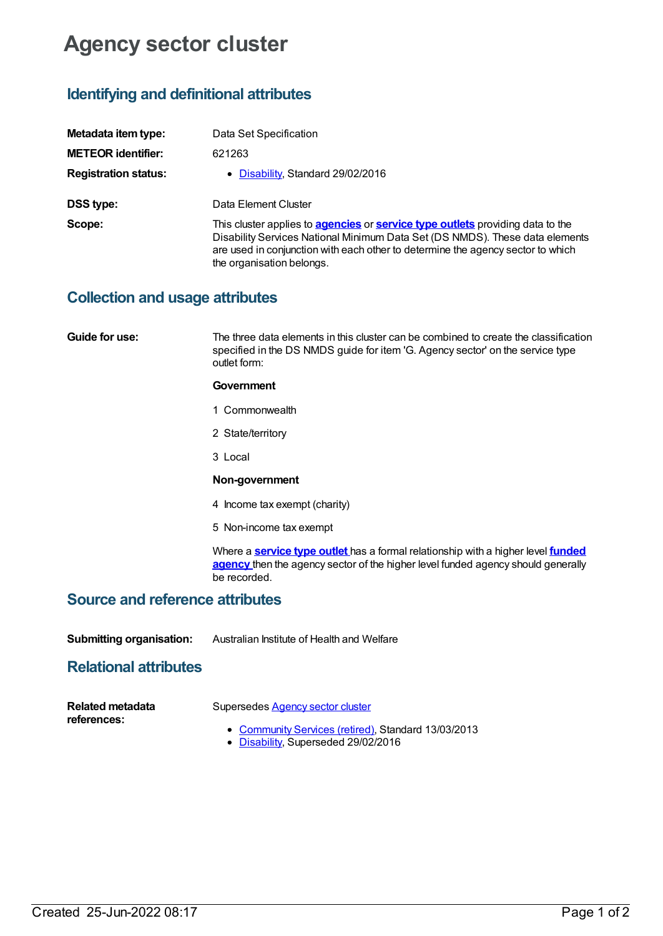# **Agency sector cluster**

# **Identifying and definitional attributes**

| Metadata item type:         | Data Set Specification                                                                                                                                                                                                                                                                       |
|-----------------------------|----------------------------------------------------------------------------------------------------------------------------------------------------------------------------------------------------------------------------------------------------------------------------------------------|
| <b>METEOR identifier:</b>   | 621263                                                                                                                                                                                                                                                                                       |
| <b>Registration status:</b> | • Disability, Standard 29/02/2016                                                                                                                                                                                                                                                            |
| <b>DSS type:</b>            | Data Element Cluster                                                                                                                                                                                                                                                                         |
| Scope:                      | This cluster applies to <b>agencies</b> or <b>service type outlets</b> providing data to the<br>Disability Services National Minimum Data Set (DS NMDS). These data elements<br>are used in conjunction with each other to determine the agency sector to which<br>the organisation belongs. |

### **Collection and usage attributes**

**Guide for use:** The three data elements in this cluster can be combined to create the classification specified in the DS NMDS guide for item 'G. Agency sector' on the service type outlet form:

#### **Government**

- 1 Commonwealth
- 2 State/territory
- 3 Local

#### **Non-government**

- 4 Income tax exempt (charity)
- 5 Non-income tax exempt

Where a **[service](https://meteor.aihw.gov.au/content/501973) type outlet** has a formal [relationship](https://meteor.aihw.gov.au/content/386548) with a higher level **funded agency** then the agency sector of the higher level funded agency should generally be recorded.

### **Source and reference attributes**

**Submitting organisation:** Australian Institute of Health and Welfare

## **Relational attributes**

| <b>Related metadata</b> | Supersedes Agency sector cluster                    |
|-------------------------|-----------------------------------------------------|
| references:             | • Community Services (retired), Standard 13/03/2013 |

[Disability](https://meteor.aihw.gov.au/RegistrationAuthority/16), Superseded 29/02/2016